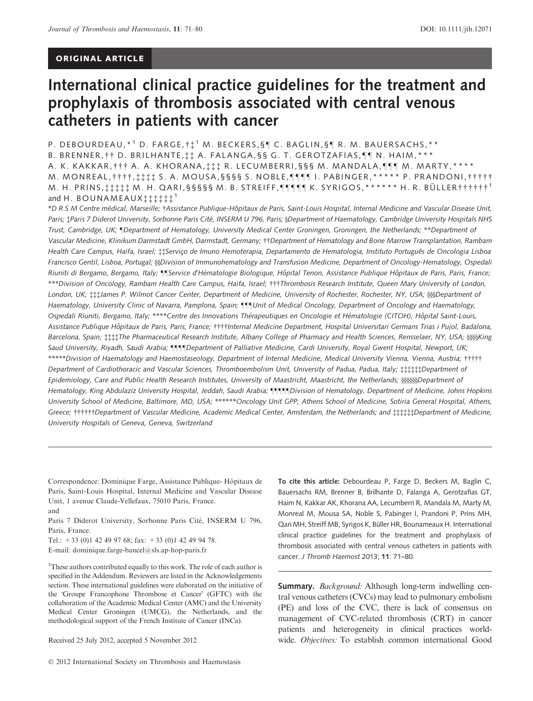# ORIGINAL ARTICLE

# International clinical practice guidelines for the treatment and prophylaxis of thrombosis associated with central venous catheters in patients with cancer

P. DEBOURDEAU,\*<sup>1</sup> D. FARGE,†‡<sup>1</sup> M. BECKERS,§¶ C. BAGLIN,§¶ R. M. BAUERSACHS,\*\*

B. BRENNER,†† D. BRILHANTE,‡‡ A. FALANGA,§§ G. T. GEROTZAFIAS,¶¶ N. HAIM,\*\*\*

A. K. KAKKAR,††† A. A. KHORANA,‡‡‡ R. LECUMBERRI,§§§ M. MANDALA,¶¶¶ M. MARTY,\*\*\*\* M. MONREAL,††††,‡‡‡‡ S. A. MOUSA,§§§§ S. NOBLE,¶¶¶ I. PABINGER,\*\*\*\*\* P. PRANDONI,††††† M. H. PRINS,‡‡‡‡‡ M. H. QARI,§§§§§ M. B. STREIFF,¶¶¶¶ K. SYRIGOS,\*\*\*\*\*\* H. R. BÜLLER††††††<sup>1</sup> and H . B O U NA M E A U X <sup>1</sup>

\*D R S M Centre médical, Marseille; †Assistance Publique-Hôpitaux de Paris, Saint-Louis Hospital, Internal Medicine and Vascular Disease Unit, Paris; *\*Paris 7 Diderot University, Sorbonne Paris Cité, INSERM U 796, Paris; §Department of Haematology, Cambridge University Hospitals NHS* Trust, Cambridge, UK; ¶Department of Hematology, University Medical Center Groningen, Groningen, the Netherlands; \*\*Department of Vascular Medicine, Klinikum Darmstadt GmbH, Darmstadt, Germany; ††Department of Hematology and Bone Marrow Transplantation, Rambam Health Care Campus, Haifa, Israel; *\*\*\*Servico de Imuno Hemoterapia, Departamento de Hematologia, Instituto Português de Oncologia Lisboa* Francisco Gentil, Lisboa, Portugal; §§Division of Immunohematology and Transfusion Medicine, Department of Oncology-Hematology, Ospedali Riuniti di Bergamo, Bergamo, Italy; ¶¶Service d'Hématologie Biologique, Hôpital Tenon, Assistance Publique Hôpitaux de Paris, Paris, France; \*\*\*Division of Oncology, Rambam Health Care Campus, Haifa, Israel; †††Thrombosis Research Institute, Queen Mary University of London, London, UK; *iiiJames P. Wilmot Cancer Center, Department of Medicine, University of Rochester, Rochester, NY, USA; §§§Department of* Haematology, University Clinic of Navarra, Pamplona, Spain; [[[[Unit of Medical Oncology, Department of Oncology and Haematology, Ospedali Riuniti, Bergamo, Italy; \*\*\*\*Centre des Innovations Thérapeutiques en Oncologie et Hématologie (CITOH), Hôpital Saint-Louis, Assistance Publique Hôpitaux de Paris, Paris, France; ††††Internal Medicine Department, Hospital Universitari Germans Trias i Pujol, Badalona, Barcelona, Spain; ####The Pharmaceutical Research Institute, Albany College of Pharmacy and Health Sciences, Rensselaer, NY, USA; §§§§King Saud University, Riyadh, Saudi Arabia; [[[[[Department of Palliative Medicine, Cardi University, Royal Gwent Hospital, Newport, UK; \*\*\*\*\*Division of Haematology and Haemostaseology, Department of Internal Medicine, Medical University Vienna, Vienna, Austria; ††††† Department of Cardiothoracic and Vascular Sciences, Thromboembolism Unit, University of Padua, Padua, Italy; ttttttDepartment of Epidemiology, Care and Public Health Research Institutes, University of Maastricht, Maastricht, the Netherlands; §§§§§§Department of Hematology, King Abdulaziz University Hospital, Jeddah, Saudi Arabia; [[[[[Division of Hematology, Department of Medicine, Johns Hopkins University School of Medicine, Baltimore, MD, USA; \*\*\*\*\*\*Oncology Unit GPP, Athens School of Medicine, Sotiria General Hospital, Athens, Greece; †††††Department of Vascular Medicine, Academic Medical Center, Amsterdam, the Netherlands; and ‡‡‡‡‡Department of Medicine, University Hospitals of Geneva, Geneva, Switzerland

Correspondence: Dominique Farge, Assistance Publique- Hôpitaux de Paris, Saint-Louis Hospital, Internal Medicine and Vascular Disease Unit, 1 avenue Claude-Vellefaux, 75010 Paris, France.

and

Paris 7 Diderot University, Sorbonne Paris Cité, INSERM U 796, Paris, France.

Tel.:  $+33$  (0)1 42 49 97 68; fax:  $+33$  (0)1 42 49 94 78.

E-mail: dominique.farge-bancel@sls.ap-hop-paris.fr

<sup>1</sup>These authors contributed equally to this work. The role of each author is specified in the Addendum. Reviewers are listed in the Acknowledgements section. These international guidelines were elaborated on the initiative of the 'Groupe Francophone Thrombose et Cancer' (GFTC) with the collaboration of the Academic Medical Center (AMC) and the University Medical Center Groningen (UMCG), the Netherlands, and the methodological support of the French Institute of Cancer (INCa).

Received 25 July 2012, accepted 5 November 2012

Bauersachs RM, Brenner B, Brilhante D, Falanga A, Gerotzafias GT, Haim N, Kakkar AK, Khorana AA, Lecumberri R, Mandala M, Marty M, Monreal M, Mousa SA, Noble S, Pabinger I, Prandoni P, Prins MH, Qari MH, Streiff MB, Syrigos K, Büller HR, Bounameaux H. International clinical practice guidelines for the treatment and prophylaxis of thrombosis associated with central venous catheters in patients with cancer. J Thromb Haemost 2013; 11: 71–80.

To cite this article: Debourdeau P, Farge D, Beckers M, Baglin C,

**Summary.** *Background:* Although long-term indwelling central venous catheters (CVCs) may lead to pulmonary embolism (PE) and loss of the CVC, there is lack of consensus on management of CVC-related thrombosis (CRT) in cancer patients and heterogeneity in clinical practices worldwide. Objectives: To establish common international Good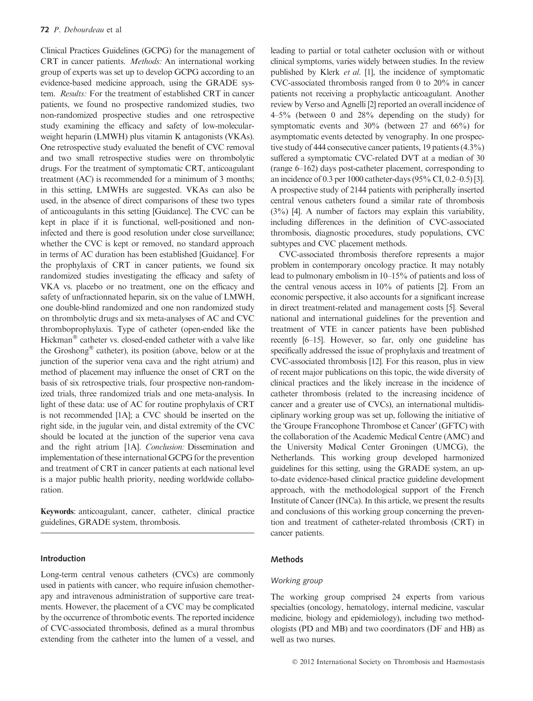Clinical Practices Guidelines (GCPG) for the management of CRT in cancer patients. Methods: An international working group of experts was set up to develop GCPG according to an evidence-based medicine approach, using the GRADE system. Results: For the treatment of established CRT in cancer patients, we found no prospective randomized studies, two non-randomized prospective studies and one retrospective study examining the efficacy and safety of low-molecularweight heparin (LMWH) plus vitamin K antagonists (VKAs). One retrospective study evaluated the benefit of CVC removal and two small retrospective studies were on thrombolytic drugs. For the treatment of symptomatic CRT, anticoagulant treatment (AC) is recommended for a minimum of 3 months; in this setting, LMWHs are suggested. VKAs can also be used, in the absence of direct comparisons of these two types of anticoagulants in this setting [Guidance]. The CVC can be kept in place if it is functional, well-positioned and noninfected and there is good resolution under close surveillance; whether the CVC is kept or removed, no standard approach in terms of AC duration has been established [Guidance]. For the prophylaxis of CRT in cancer patients, we found six randomized studies investigating the efficacy and safety of VKA vs. placebo or no treatment, one on the efficacy and safety of unfractionnated heparin, six on the value of LMWH, one double-blind randomized and one non randomized study on thrombolytic drugs and six meta-analyses of AC and CVC thromboprophylaxis. Type of catheter (open-ended like the Hickman<sup>®</sup> catheter vs. closed-ended catheter with a valve like the Groshong<sup>®</sup> catheter), its position (above, below or at the junction of the superior vena cava and the right atrium) and method of placement may influence the onset of CRT on the basis of six retrospective trials, four prospective non-randomized trials, three randomized trials and one meta-analysis. In light of these data: use of AC for routine prophylaxis of CRT is not recommended [1A]; a CVC should be inserted on the right side, in the jugular vein, and distal extremity of the CVC should be located at the junction of the superior vena cava and the right atrium [1A]. Conclusion: Dissemination and implementation of these international GCPG for the prevention and treatment of CRT in cancer patients at each national level is a major public health priority, needing worldwide collaboration.

Keywords: anticoagulant, cancer, catheter, clinical practice guidelines, GRADE system, thrombosis.

# Introduction

Long-term central venous catheters (CVCs) are commonly used in patients with cancer, who require infusion chemotherapy and intravenous administration of supportive care treatments. However, the placement of a CVC may be complicated by the occurrence of thrombotic events. The reported incidence of CVC-associated thrombosis, defined as a mural thrombus extending from the catheter into the lumen of a vessel, and leading to partial or total catheter occlusion with or without clinical symptoms, varies widely between studies. In the review published by Klerk et al. [1], the incidence of symptomatic CVC-associated thrombosis ranged from 0 to 20% in cancer patients not receiving a prophylactic anticoagulant. Another review by Verso and Agnelli [2] reported an overall incidence of 4–5% (between 0 and 28% depending on the study) for symptomatic events and 30% (between 27 and 66%) for asymptomatic events detected by venography. In one prospective study of 444 consecutive cancer patients, 19 patients (4.3%) suffered a symptomatic CVC-related DVT at a median of 30 (range 6–162) days post-catheter placement, corresponding to an incidence of 0.3 per 1000 catheter-days (95% CI, 0.2–0.5) [3]. A prospective study of 2144 patients with peripherally inserted central venous catheters found a similar rate of thrombosis (3%) [4]. A number of factors may explain this variability, including differences in the definition of CVC-associated thrombosis, diagnostic procedures, study populations, CVC subtypes and CVC placement methods.

CVC-associated thrombosis therefore represents a major problem in contemporary oncology practice. It may notably lead to pulmonary embolism in 10–15% of patients and loss of the central venous access in 10% of patients [2]. From an economic perspective, it also accounts for a significant increase in direct treatment-related and management costs [5]. Several national and international guidelines for the prevention and treatment of VTE in cancer patients have been published recently [6–15]. However, so far, only one guideline has specifically addressed the issue of prophylaxis and treatment of CVC-associated thrombosis [12]. For this reason, plus in view of recent major publications on this topic, the wide diversity of clinical practices and the likely increase in the incidence of catheter thrombosis (related to the increasing incidence of cancer and a greater use of CVCs), an international multidisciplinary working group was set up, following the initiative of the 'Groupe Francophone Thrombose et Cancer' (GFTC) with the collaboration of the Academic Medical Centre (AMC) and the University Medical Center Groningen (UMCG), the Netherlands. This working group developed harmonized guidelines for this setting, using the GRADE system, an upto-date evidence-based clinical practice guideline development approach, with the methodological support of the French Institute of Cancer (INCa). In this article, we present the results and conclusions of this working group concerning the prevention and treatment of catheter-related thrombosis (CRT) in cancer patients.

# Methods

### Working group

The working group comprised 24 experts from various specialties (oncology, hematology, internal medicine, vascular medicine, biology and epidemiology), including two methodologists (PD and MB) and two coordinators (DF and HB) as well as two nurses.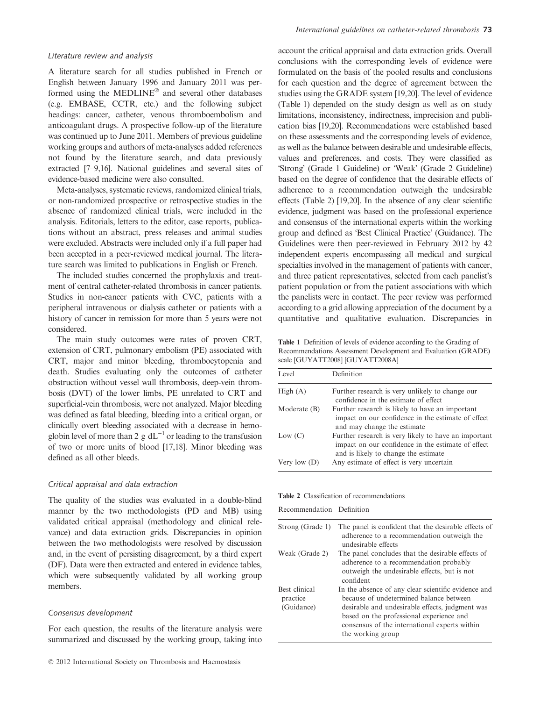#### Literature review and analysis

A literature search for all studies published in French or English between January 1996 and January 2011 was performed using the  $MEDLINE^{\circledR}$  and several other databases (e.g. EMBASE, CCTR, etc.) and the following subject headings: cancer, catheter, venous thromboembolism and anticoagulant drugs. A prospective follow-up of the literature was continued up to June 2011. Members of previous guideline working groups and authors of meta-analyses added references not found by the literature search, and data previously extracted [7–9,16]. National guidelines and several sites of evidence-based medicine were also consulted.

Meta-analyses, systematic reviews, randomized clinical trials, or non-randomized prospective or retrospective studies in the absence of randomized clinical trials, were included in the analysis. Editorials, letters to the editor, case reports, publications without an abstract, press releases and animal studies were excluded. Abstracts were included only if a full paper had been accepted in a peer-reviewed medical journal. The literature search was limited to publications in English or French.

The included studies concerned the prophylaxis and treatment of central catheter-related thrombosis in cancer patients. Studies in non-cancer patients with CVC, patients with a peripheral intravenous or dialysis catheter or patients with a history of cancer in remission for more than 5 years were not considered.

The main study outcomes were rates of proven CRT, extension of CRT, pulmonary embolism (PE) associated with CRT, major and minor bleeding, thrombocytopenia and death. Studies evaluating only the outcomes of catheter obstruction without vessel wall thrombosis, deep-vein thrombosis (DVT) of the lower limbs, PE unrelated to CRT and superficial-vein thrombosis, were not analyzed. Major bleeding was defined as fatal bleeding, bleeding into a critical organ, or clinically overt bleeding associated with a decrease in hemoglobin level of more than 2 g  $dL^{-1}$  or leading to the transfusion of two or more units of blood [17,18]. Minor bleeding was defined as all other bleeds.

# Critical appraisal and data extraction

The quality of the studies was evaluated in a double-blind manner by the two methodologists (PD and MB) using validated critical appraisal (methodology and clinical relevance) and data extraction grids. Discrepancies in opinion between the two methodologists were resolved by discussion and, in the event of persisting disagreement, by a third expert (DF). Data were then extracted and entered in evidence tables, which were subsequently validated by all working group members.

# Consensus development

For each question, the results of the literature analysis were summarized and discussed by the working group, taking into account the critical appraisal and data extraction grids. Overall conclusions with the corresponding levels of evidence were formulated on the basis of the pooled results and conclusions for each question and the degree of agreement between the studies using the GRADE system [19,20]. The level of evidence (Table 1) depended on the study design as well as on study limitations, inconsistency, indirectness, imprecision and publication bias [19,20]. Recommendations were established based on these assessments and the corresponding levels of evidence, as well as the balance between desirable and undesirable effects, values and preferences, and costs. They were classified as 'Strong' (Grade 1 Guideline) or 'Weak' (Grade 2 Guideline) based on the degree of confidence that the desirable effects of adherence to a recommendation outweigh the undesirable effects (Table 2) [19,20]. In the absence of any clear scientific evidence, judgment was based on the professional experience and consensus of the international experts within the working group and defined as 'Best Clinical Practice' (Guidance). The Guidelines were then peer-reviewed in February 2012 by 42 independent experts encompassing all medical and surgical specialties involved in the management of patients with cancer, and three patient representatives, selected from each panelist's patient population or from the patient associations with which the panelists were in contact. The peer review was performed according to a grid allowing appreciation of the document by a quantitative and qualitative evaluation. Discrepancies in

Table 1 Definition of levels of evidence according to the Grading of Recommendations Assessment Development and Evaluation (GRADE) scale [GUYATT2008] [GUYATT2008A]

| Level          | Definition                                                                                                                                |
|----------------|-------------------------------------------------------------------------------------------------------------------------------------------|
| High $(A)$     | Further research is very unlikely to change our<br>confidence in the estimate of effect                                                   |
| Moderate $(B)$ | Further research is likely to have an important<br>impact on our confidence in the estimate of effect                                     |
| Low $(C)$      | and may change the estimate<br>Further research is very likely to have an important<br>impact on our confidence in the estimate of effect |
| Very low $(D)$ | and is likely to change the estimate<br>Any estimate of effect is very uncertain                                                          |

Table 2 Classification of recommendations

| Recommendation Definition               |                                                                                                                                                                                                                                                                     |
|-----------------------------------------|---------------------------------------------------------------------------------------------------------------------------------------------------------------------------------------------------------------------------------------------------------------------|
| Strong (Grade 1)                        | The panel is confident that the desirable effects of<br>adherence to a recommendation outweigh the<br>undesirable effects                                                                                                                                           |
| Weak (Grade 2)                          | The panel concludes that the desirable effects of<br>adherence to a recommendation probably<br>outweigh the undesirable effects, but is not<br>confident                                                                                                            |
| Best clinical<br>practice<br>(Guidance) | In the absence of any clear scientific evidence and<br>because of undetermined balance between<br>desirable and undesirable effects, judgment was<br>based on the professional experience and<br>consensus of the international experts within<br>the working group |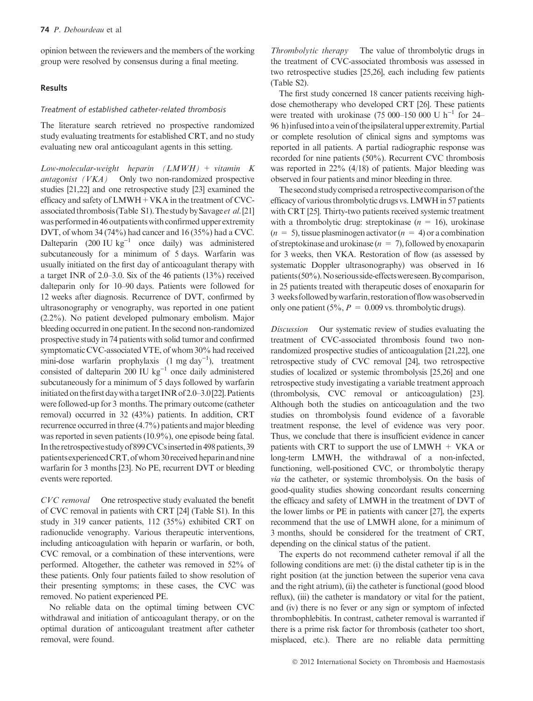opinion between the reviewers and the members of the working group were resolved by consensus during a final meeting.

# Results

# Treatment of established catheter-related thrombosis

The literature search retrieved no prospective randomized study evaluating treatments for established CRT, and no study evaluating new oral anticoagulant agents in this setting.

Low-molecular-weight heparin  $(LMWH)$  + vitamin K antagonist (VKA) Only two non-randomized prospective studies [21,22] and one retrospective study [23] examined the efficacy and safety of  $LMWH + VKA$  in the treatment of  $CVC$ associated thrombosis (Table S1). The study by Savage et al. [21] was performed in 46 outpatients with confirmed upper extremity DVT, of whom 34 (74%) had cancer and 16 (35%) had a CVC. Dalteparin (200 IU kg<sup>-1</sup> once daily) was administered subcutaneously for a minimum of 5 days. Warfarin was usually initiated on the first day of anticoagulant therapy with a target INR of  $2.0-3.0$ . Six of the 46 patients  $(13\%)$  received dalteparin only for 10–90 days. Patients were followed for 12 weeks after diagnosis. Recurrence of DVT, confirmed by ultrasonography or venography, was reported in one patient (2.2%). No patient developed pulmonary embolism. Major bleeding occurred in one patient. In the second non-randomized prospective study in 74 patients with solid tumor and confirmed symptomatic CVC-associated VTE, of whom 30% had received mini-dose warfarin prophylaxis  $(1 \text{ mg day}^{-1})$ , treatment consisted of dalteparin 200 IU  $kg^{-1}$  once daily administered subcutaneously for a minimum of 5 days followed by warfarin initiatedon thefirstdaywith a target INRof2.0–3.0[22].Patients were followed-up for 3 months. The primary outcome (catheter removal) occurred in 32 (43%) patients. In addition, CRT recurrence occurred in three (4.7%) patients and major bleeding was reported in seven patients (10.9%), one episode being fatal. In the retrospective study of 899 CVCs inserted in 498 patients, 39 patients experienced CRT, of whom 30 received heparin and nine warfarin for 3 months [23]. No PE, recurrent DVT or bleeding events were reported.

CVC removal One retrospective study evaluated the benefit of CVC removal in patients with CRT [24] (Table S1). In this study in 319 cancer patients, 112 (35%) exhibited CRT on radionuclide venography. Various therapeutic interventions, including anticoagulation with heparin or warfarin, or both, CVC removal, or a combination of these interventions, were performed. Altogether, the catheter was removed in 52% of these patients. Only four patients failed to show resolution of their presenting symptoms; in these cases, the CVC was removed. No patient experienced PE.

No reliable data on the optimal timing between CVC withdrawal and initiation of anticoagulant therapy, or on the optimal duration of anticoagulant treatment after catheter removal, were found.

Thrombolytic therapy The value of thrombolytic drugs in the treatment of CVC-associated thrombosis was assessed in two retrospective studies [25,26], each including few patients (Table S2).

The first study concerned 18 cancer patients receiving highdose chemotherapy who developed CRT [26]. These patients were treated with urokinase (75 000–150 000 U h<sup>-1</sup> for 24– 96 h)infusedinto a vein of theipsilateral upper extremity.Partial or complete resolution of clinical signs and symptoms was reported in all patients. A partial radiographic response was recorded for nine patients (50%). Recurrent CVC thrombosis was reported in 22% (4/18) of patients. Major bleeding was observed in four patients and minor bleeding in three.

The second study comprised a retrospectivecomparison of the efficacy of various thrombolytic drugs vs. LMWH in 57 patients with CRT [25]. Thirty-two patients received systemic treatment with a thrombolytic drug: streptokinase ( $n = 16$ ), urokinase  $(n = 5)$ , tissue plasminogen activator  $(n = 4)$  or a combination of streptokinase and urokinase ( $n = 7$ ), followed by enoxaparin for 3 weeks, then VKA. Restoration of flow (as assessed by systematic Doppler ultrasonography) was observed in 16 patients(50%).Noseriousside-effectswereseen.Bycomparison, in 25 patients treated with therapeutic doses of enoxaparin for 3 weeksfollowedbywarfarin,restorationofflowwasobservedin only one patient  $(5\%, P = 0.009 \text{ vs. thrombolytic drugs}).$ 

Discussion Our systematic review of studies evaluating the treatment of CVC-associated thrombosis found two nonrandomized prospective studies of anticoagulation [21,22], one retrospective study of CVC removal [24], two retrospective studies of localized or systemic thrombolysis [25,26] and one retrospective study investigating a variable treatment approach (thrombolysis, CVC removal or anticoagulation) [23]. Although both the studies on anticoagulation and the two studies on thrombolysis found evidence of a favorable treatment response, the level of evidence was very poor. Thus, we conclude that there is insufficient evidence in cancer patients with CRT to support the use of  $LMWH + VKA$  or long-term LMWH, the withdrawal of a non-infected, functioning, well-positioned CVC, or thrombolytic therapy via the catheter, or systemic thrombolysis. On the basis of good-quality studies showing concordant results concerning the efficacy and safety of LMWH in the treatment of DVT of the lower limbs or PE in patients with cancer [27], the experts recommend that the use of LMWH alone, for a minimum of 3 months, should be considered for the treatment of CRT, depending on the clinical status of the patient.

The experts do not recommend catheter removal if all the following conditions are met: (i) the distal catheter tip is in the right position (at the junction between the superior vena cava and the right atrium), (ii) the catheter is functional (good blood reflux), (iii) the catheter is mandatory or vital for the patient, and (iv) there is no fever or any sign or symptom of infected thrombophlebitis. In contrast, catheter removal is warranted if there is a prime risk factor for thrombosis (catheter too short, misplaced, etc.). There are no reliable data permitting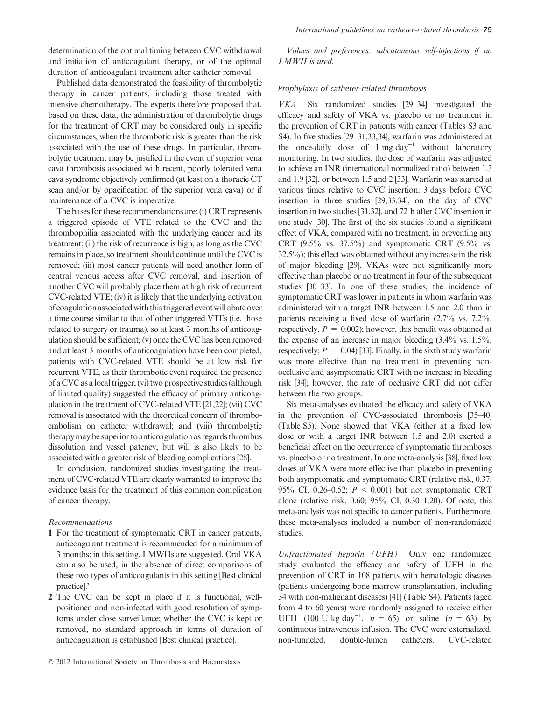determination of the optimal timing between CVC withdrawal and initiation of anticoagulant therapy, or of the optimal duration of anticoagulant treatment after catheter removal.

Published data demonstrated the feasibility of thrombolytic therapy in cancer patients, including those treated with intensive chemotherapy. The experts therefore proposed that, based on these data, the administration of thrombolytic drugs for the treatment of CRT may be considered only in specific circumstances, when the thrombotic risk is greater than the risk associated with the use of these drugs. In particular, thrombolytic treatment may be justified in the event of superior vena cava thrombosis associated with recent, poorly tolerated vena cava syndrome objectively confirmed (at least on a thoracic CT scan and/or by opacification of the superior vena cava) or if maintenance of a CVC is imperative.

The bases for these recommendations are: (i) CRT represents a triggered episode of VTE related to the CVC and the thrombophilia associated with the underlying cancer and its treatment; (ii) the risk of recurrence is high, as long as the CVC remains in place, so treatment should continue until the CVC is removed; (iii) most cancer patients will need another form of central venous access after CVC removal, and insertion of another CVC will probably place them at high risk of recurrent CVC-related VTE; (iv) it is likely that the underlying activation of coagulation associatedwith this triggered eventwill abate over a time course similar to that of other triggered VTEs (i.e. those related to surgery or trauma), so at least 3 months of anticoagulation should be sufficient; (v) once the CVC has been removed and at least 3 months of anticoagulation have been completed, patients with CVC-related VTE should be at low risk for recurrent VTE, as their thrombotic event required the presence of a CVC as alocal trigger; (vi) two prospective studies (although of limited quality) suggested the efficacy of primary anticoagulation in the treatment of CVC-related VTE [21,22]; (vii) CVC removal is associated with the theoretical concern of thromboembolism on catheter withdrawal; and (viii) thrombolytic therapymay be superior to anticoagulation as regards thrombus dissolution and vessel patency, but will is also likely to be associated with a greater risk of bleeding complications [28].

In conclusion, randomized studies investigating the treatment of CVC-related VTE are clearly warranted to improve the evidence basis for the treatment of this common complication of cancer therapy.

### Recommendations

- 1 For the treatment of symptomatic CRT in cancer patients, anticoagulant treatment is recommended for a minimum of 3 months; in this setting, LMWHs are suggested. Oral VKA can also be used, in the absence of direct comparisons of these two types of anticoagulants in this setting [Best clinical practice].
- 2 The CVC can be kept in place if it is functional, wellpositioned and non-infected with good resolution of symptoms under close surveillance; whether the CVC is kept or removed, no standard approach in terms of duration of anticoagulation is established [Best clinical practice].

Values and preferences: subcutaneous self-injections if an LMWH is used.

#### Prophylaxis of catheter-related thrombosis

VKA Six randomized studies [29–34] investigated the efficacy and safety of VKA vs. placebo or no treatment in the prevention of CRT in patients with cancer (Tables S3 and S4). In five studies [29–31,33,34], warfarin was administered at the once-daily dose of  $1 \text{ mg day}^{-1}$  without laboratory monitoring. In two studies, the dose of warfarin was adjusted to achieve an INR (international normalized ratio) between 1.3 and 1.9 [32], or between 1.5 and 2 [33]. Warfarin was started at various times relative to CVC insertion: 3 days before CVC insertion in three studies [29,33,34], on the day of CVC insertion in two studies [31,32], and 72 h after CVC insertion in one study [30]. The first of the six studies found a significant effect of VKA, compared with no treatment, in preventing any CRT  $(9.5\% \text{ vs. } 37.5\%)$  and symptomatic CRT  $(9.5\% \text{ vs. } 37.5\%)$ 32.5%); this effect was obtained without any increase in the risk of major bleeding [29]. VKAs were not significantly more effective than placebo or no treatment in four of the subsequent studies [30–33]. In one of these studies, the incidence of symptomatic CRT was lower in patients in whom warfarin was administered with a target INR between 1.5 and 2.0 than in patients receiving a fixed dose of warfarin (2.7% vs. 7.2%, respectively,  $P = 0.002$ ); however, this benefit was obtained at the expense of an increase in major bleeding (3.4% vs. 1.5%, respectively;  $P = 0.04$  [33]. Finally, in the sixth study warfarin was more effective than no treatment in preventing nonocclusive and asymptomatic CRT with no increase in bleeding risk [34]; however, the rate of occlusive CRT did not differ between the two groups.

Six meta-analyses evaluated the efficacy and safety of VKA in the prevention of CVC-associated thrombosis [35–40] (Table S5). None showed that VKA (either at a fixed low dose or with a target INR between 1.5 and 2.0) exerted a beneficial effect on the occurrence of symptomatic thromboses vs. placebo or no treatment. In one meta-analysis [38], fixed low doses of VKA were more effective than placebo in preventing both asymptomatic and symptomatic CRT (relative risk, 0.37; 95% CI, 0.26–0.52;  $P < 0.001$ ) but not symptomatic CRT alone (relative risk, 0.60; 95% CI, 0.30–1.20). Of note, this meta-analysis was not specific to cancer patients. Furthermore, these meta-analyses included a number of non-randomized studies.

Unfractionated heparin (UFH) Only one randomized study evaluated the efficacy and safety of UFH in the prevention of CRT in 108 patients with hematologic diseases (patients undergoing bone marrow transplantation, including 34 with non-malignant diseases) [41] (Table S4). Patients (aged from 4 to 60 years) were randomly assigned to receive either UFH (100 U kg day<sup>-1</sup>,  $n = 65$ ) or saline ( $n = 63$ ) by continuous intravenous infusion. The CVC were externalized, non-tunneled, double-lumen catheters. CVC-related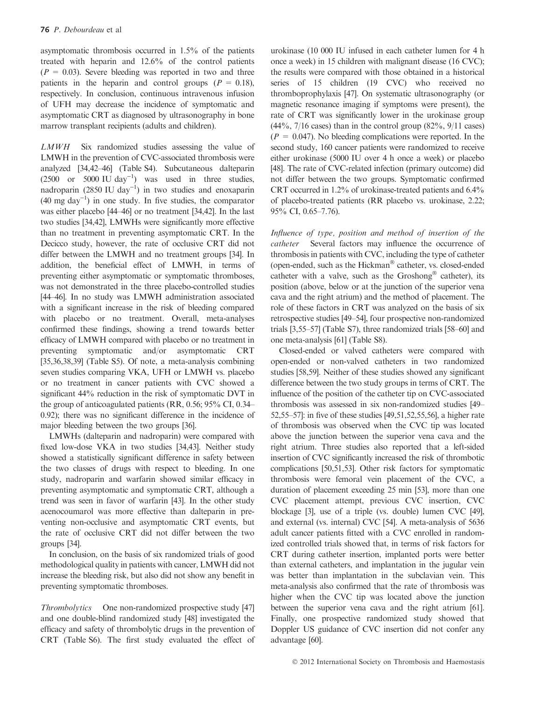asymptomatic thrombosis occurred in 1.5% of the patients treated with heparin and 12.6% of the control patients  $(P = 0.03)$ . Severe bleeding was reported in two and three patients in the heparin and control groups  $(P = 0.18)$ , respectively. In conclusion, continuous intravenous infusion of UFH may decrease the incidence of symptomatic and asymptomatic CRT as diagnosed by ultrasonography in bone marrow transplant recipients (adults and children).

LMWH Six randomized studies assessing the value of LMWH in the prevention of CVC-associated thrombosis were analyzed [34,42–46] (Table S4). Subcutaneous dalteparin  $(2500 \text{ or } 5000 \text{ IU day}^{-1})$  was used in three studies, nadroparin (2850 IU day<sup>-1</sup>) in two studies and enoxaparin  $(40 \text{ mg day}^{-1})$  in one study. In five studies, the comparator was either placebo [44–46] or no treatment [34,42]. In the last two studies [34,42], LMWHs were significantly more effective than no treatment in preventing asymptomatic CRT. In the Decicco study, however, the rate of occlusive CRT did not differ between the LMWH and no treatment groups [34]. In addition, the beneficial effect of LMWH, in terms of preventing either asymptomatic or symptomatic thromboses, was not demonstrated in the three placebo-controlled studies [44–46]. In no study was LMWH administration associated with a significant increase in the risk of bleeding compared with placebo or no treatment. Overall, meta-analyses confirmed these findings, showing a trend towards better efficacy of LMWH compared with placebo or no treatment in preventing symptomatic and/or asymptomatic CRT [35,36,38,39] (Table S5). Of note, a meta-analysis combining seven studies comparing VKA, UFH or LMWH vs. placebo or no treatment in cancer patients with CVC showed a significant 44% reduction in the risk of symptomatic DVT in the group of anticoagulated patients (RR, 0.56; 95% CI, 0.34– 0.92); there was no significant difference in the incidence of major bleeding between the two groups [36].

LMWHs (dalteparin and nadroparin) were compared with fixed low-dose VKA in two studies [34,43]. Neither study showed a statistically significant difference in safety between the two classes of drugs with respect to bleeding. In one study, nadroparin and warfarin showed similar efficacy in preventing asymptomatic and symptomatic CRT, although a trend was seen in favor of warfarin [43]. In the other study acenocoumarol was more effective than dalteparin in preventing non-occlusive and asymptomatic CRT events, but the rate of occlusive CRT did not differ between the two groups [34].

In conclusion, on the basis of six randomized trials of good methodological quality in patients with cancer, LMWH did not increase the bleeding risk, but also did not show any benefit in preventing symptomatic thromboses.

Thrombolytics One non-randomized prospective study [47] and one double-blind randomized study [48] investigated the efficacy and safety of thrombolytic drugs in the prevention of CRT (Table S6). The first study evaluated the effect of urokinase (10 000 IU infused in each catheter lumen for 4 h once a week) in 15 children with malignant disease (16 CVC); the results were compared with those obtained in a historical series of 15 children (19 CVC) who received no thromboprophylaxis [47]. On systematic ultrasonography (or magnetic resonance imaging if symptoms were present), the rate of CRT was significantly lower in the urokinase group  $(44\%, 7/16 \text{ cases})$  than in the control group  $(82\%, 9/11 \text{ cases})$  $(P = 0.047)$ . No bleeding complications were reported. In the second study, 160 cancer patients were randomized to receive either urokinase (5000 IU over 4 h once a week) or placebo [48]. The rate of CVC-related infection (primary outcome) did not differ between the two groups. Symptomatic confirmed CRT occurred in 1.2% of urokinase-treated patients and 6.4% of placebo-treated patients (RR placebo vs. urokinase, 2.22; 95% CI, 0.65–7.76).

Influence of type, position and method of insertion of the catheter Several factors may influence the occurrence of thrombosis in patients with CVC, including the type of catheter (open-ended, such as the Hickman<sup>®</sup> catheter, vs. closed-ended catheter with a valve, such as the Groshong® catheter), its position (above, below or at the junction of the superior vena cava and the right atrium) and the method of placement. The role of these factors in CRT was analyzed on the basis of six retrospective studies [49–54], four prospective non-randomized trials [3,55–57] (Table S7), three randomized trials [58–60] and one meta-analysis [61] (Table S8).

Closed-ended or valved catheters were compared with open-ended or non-valved catheters in two randomized studies [58,59]. Neither of these studies showed any significant difference between the two study groups in terms of CRT. The influence of the position of the catheter tip on CVC-associated thrombosis was assessed in six non-randomized studies [49– 52,55–57]: in five of these studies [49,51,52,55,56], a higher rate of thrombosis was observed when the CVC tip was located above the junction between the superior vena cava and the right atrium. Three studies also reported that a left-sided insertion of CVC significantly increased the risk of thrombotic complications [50,51,53]. Other risk factors for symptomatic thrombosis were femoral vein placement of the CVC, a duration of placement exceeding 25 min [53], more than one CVC placement attempt, previous CVC insertion, CVC blockage [3], use of a triple (vs. double) lumen CVC [49], and external (vs. internal) CVC [54]. A meta-analysis of 5636 adult cancer patients fitted with a CVC enrolled in randomized controlled trials showed that, in terms of risk factors for CRT during catheter insertion, implanted ports were better than external catheters, and implantation in the jugular vein was better than implantation in the subclavian vein. This meta-analysis also confirmed that the rate of thrombosis was higher when the CVC tip was located above the junction between the superior vena cava and the right atrium [61]. Finally, one prospective randomized study showed that Doppler US guidance of CVC insertion did not confer any advantage [60].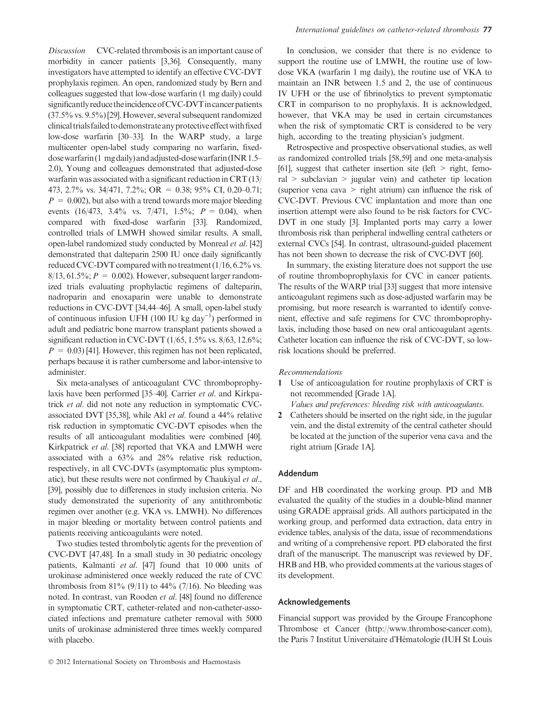Discussion CVC-related thrombosis is an important cause of morbidity in cancer patients [3,36]. Consequently, many investigators have attempted to identify an effective CVC-DVT prophylaxis regimen. An open, randomized study by Bern and colleagues suggested that low-dose warfarin (1 mg daily) could significantly reduce the incidence of CVC-DVT in cancer patients (37.5% vs. 9.5%)[29].However, several subsequent randomized clinical trials failed todemonstrateanyprotectiveeffectwithfixed low-dose warfarin [30–33]. In the WARP study, a large multicenter open-label study comparing no warfarin, fixeddosewarfarin (1 mgdaily)andadjusted-dosewarfarin (INR1.5– 2.0), Young and colleagues demonstrated that adjusted-dose warfarin was associated with a significant reduction in CRT (13/ 473, 2.7% vs. 34/471, 7.2%; OR = 0.38; 95% CI, 0.20–0.71;  $P = 0.002$ , but also with a trend towards more major bleeding events (16/473, 3.4% vs. 7/471, 1.5%;  $P = 0.04$ ), when compared with fixed-dose warfarin [33]. Randomized, controlled trials of LMWH showed similar results. A small, open-label randomized study conducted by Monreal et al. [42] demonstrated that dalteparin 2500 IU once daily significantly reduced CVC-DVT compared with no treatment (1/16, 6.2% vs.  $8/13$ , 61.5%;  $P = 0.002$ ). However, subsequent larger randomized trials evaluating prophylactic regimens of dalteparin, nadroparin and enoxaparin were unable to demonstrate reductions in CVC-DVT [34,44–46]. A small, open-label study of continuous infusion UFH (100 IU kg day<sup>-1</sup>) performed in adult and pediatric bone marrow transplant patients showed a significant reduction in CVC-DVT (1/65, 1.5% vs. 8/63, 12.6%;  $P = 0.03$  [41]. However, this regimen has not been replicated, perhaps because it is rather cumbersome and labor-intensive to administer.

Six meta-analyses of anticoagulant CVC thromboprophylaxis have been performed [35–40]. Carrier et al. and Kirkpatrick et al. did not note any reduction in symptomatic CVCassociated DVT [35,38], while Akl et al. found a 44% relative risk reduction in symptomatic CVC-DVT episodes when the results of all anticoagulant modalities were combined [40]. Kirkpatrick et al. [38] reported that VKA and LMWH were associated with a 63% and 28% relative risk reduction, respectively, in all CVC-DVTs (asymptomatic plus symptomatic), but these results were not confirmed by Chaukiyal et al., [39], possibly due to differences in study inclusion criteria. No study demonstrated the superiority of any antithrombotic regimen over another (e.g. VKA vs. LMWH). No differences in major bleeding or mortality between control patients and patients receiving anticoagulants were noted.

Two studies tested thrombolytic agents for the prevention of CVC-DVT [47,48]. In a small study in 30 pediatric oncology patients, Kalmanti et al. [47] found that 10 000 units of urokinase administered once weekly reduced the rate of CVC thrombosis from 81% (9/11) to 44% (7/16). No bleeding was noted. In contrast, van Rooden et al. [48] found no difference in symptomatic CRT, catheter-related and non-catheter-associated infections and premature catheter removal with 5000 units of urokinase administered three times weekly compared with placebo.

In conclusion, we consider that there is no evidence to support the routine use of LMWH, the routine use of lowdose VKA (warfarin 1 mg daily), the routine use of VKA to maintain an INR between 1.5 and 2, the use of continuous IV UFH or the use of fibrinolytics to prevent symptomatic CRT in comparison to no prophylaxis. It is acknowledged, however, that VKA may be used in certain circumstances when the risk of symptomatic CRT is considered to be very high, according to the treating physician's judgment.

Retrospective and prospective observational studies, as well as randomized controlled trials [58,59] and one meta-analysis [61], suggest that catheter insertion site (left  $>$  right, femoral > subclavian > jugular vein) and catheter tip location (superior vena cava > right atrium) can influence the risk of CVC-DVT. Previous CVC implantation and more than one insertion attempt were also found to be risk factors for CVC-DVT in one study [3]. Implanted ports may carry a lower thrombosis risk than peripheral indwelling central catheters or external CVCs [54]. In contrast, ultrasound-guided placement has not been shown to decrease the risk of CVC-DVT [60].

In summary, the existing literature does not support the use of routine thromboprophylaxis for CVC in cancer patients. The results of the WARP trial [33] suggest that more intensive anticoagulant regimens such as dose-adjusted warfarin may be promising, but more research is warranted to identify convenient, effective and safe regimens for CVC thromboprophylaxis, including those based on new oral anticoagulant agents. Catheter location can influence the risk of CVC-DVT, so lowrisk locations should be preferred.

# Recommendations

1 Use of anticoagulation for routine prophylaxis of CRT is not recommended [Grade 1A].

Values and preferences: bleeding risk with anticoagulants.

2 Catheters should be inserted on the right side, in the jugular vein, and the distal extremity of the central catheter should be located at the junction of the superior vena cava and the right atrium [Grade 1A].

### Addendum

DF and HB coordinated the working group. PD and MB evaluated the quality of the studies in a double-blind manner using GRADE appraisal grids. All authors participated in the working group, and performed data extraction, data entry in evidence tables, analysis of the data, issue of recommendations and writing of a comprehensive report. PD elaborated the first draft of the manuscript. The manuscript was reviewed by DF, HRB and HB, who provided comments at the various stages of its development.

# Acknowledgements

Financial support was provided by the Groupe Francophone Thrombose et Cancer (http://www.thrombose-cancer.com), the Paris 7 Institut Universitaire d'Hématologie (IUH St Louis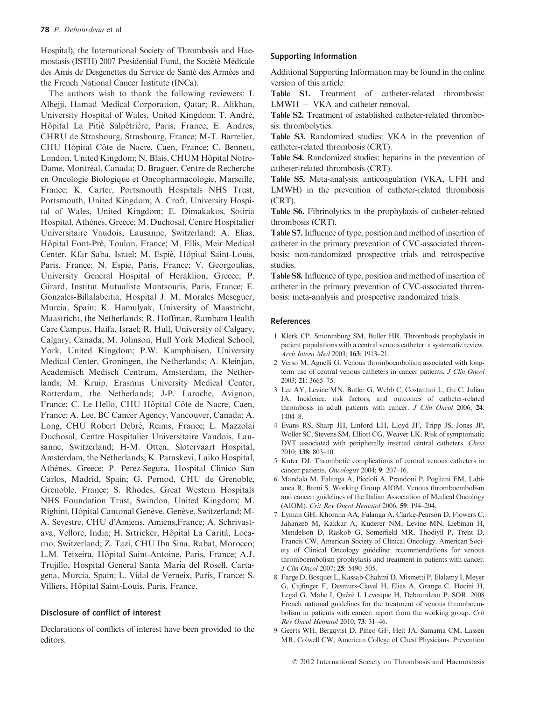Hospital), the International Society of Thrombosis and Haemostasis (ISTH) 2007 Presidential Fund, the Société Médicale des Amis de Desgenettes du Service de Santé des Armées and the French National Cancer Institute (INCa).

The authors wish to thank the following reviewers: I. Alhejji, Hamad Medical Corporation, Qatar; R. Alikhan, University Hospital of Wales, United Kingdom; T. André, Hôpital La Pitié Salpêtrière, Paris, France; E. Andres, CHRU de Strasbourg, Strasbourg, France; M-T. Barrelier, CHU Hôpital Côte de Nacre, Caen, France; C. Bennett, London, United Kingdom; N. Blais, CHUM Hôpital Notre-Dame, Montréal, Canada; D. Braguer, Centre de Recherche en Oncologie Biologique et Oncopharmacologie, Marseille, France; K. Carter, Portsmouth Hospitals NHS Trust, Portsmouth, United Kingdom; A. Croft, University Hospital of Wales, United Kingdom; E. Dimakakos, Sotiria Hospital, Athe`nes, Greece; M. Duchosal, Centre Hospitalier Universitaire Vaudois, Lausanne, Switzerland; A. Elias, Hôpital Font-Pré, Toulon, France; M. Ellis, Meir Medical Center, Kfar Saba, Israel; M. Espié, Hôpital Saint-Louis, Paris, France; N. Espié, Paris, France; V. Georgoulias, University General Hospital of Heraklion, Greece; P. Girard, Institut Mutualiste Montsouris, Paris, France; E. Gonzales-Billalabeitia, Hospital J. M. Morales Meseguer, Murcia, Spain; K. Hamulyak, University of Maastricht, Maastricht, the Netherlands; R. Hoffman, Rambam Health Care Campus, Haifa, Israel; R. Hull, University of Calgary, Calgary, Canada; M. Johnson, Hull York Medical School, York, United Kingdom; P.W. Kamphuisen, University Medical Center, Groningen, the Netherlands; A. Kleinjan, Academisch Medisch Centrum, Amsterdam, the Netherlands; M. Kruip, Erasmus University Medical Center, Rotterdam, the Netherlands; J-P. Laroche, Avignon, France; C. Le Hello, CHU Hôpital Côte de Nacre, Caen, France; A. Lee, BC Cancer Agency, Vancouver, Canada; A. Long, CHU Robert Debré, Reims, France; L. Mazzolai Duchosal, Centre Hospitalier Universitaire Vaudois, Lausanne, Switzerland; H-M. Otten, Slotervaart Hospital, Amsterdam, the Netherlands; K. Paraskevi, Laiko Hospital, Athènes, Greece; P. Perez-Segura, Hospital Clínico San Carlos, Madrid, Spain; G. Pernod, CHU de Grenoble, Grenoble, France; S. Rhodes, Great Western Hospitals NHS Foundation Trust, Swindon, United Kingdom; M. Righini, Hôpital Cantonal Genève, Genève, Switzerland; M-A. Sevestre, CHU d'Amiens, Amiens, France; A. Schrivastava, Vellore, India; H. Srtricker, Hôpital La Carità, Locarno, Switzerland; Z. Tazi, CHU Ibn Sina, Rabat, Morocco; L.M. Teixeira, Hôpital Saint-Antoine, Paris, France; A.J. Trujillo, Hospital General Santa María del Rosell, Cartagena, Murcia, Spain; L. Vidal de Verneix, Paris, France; S. Villiers, Hôpital Saint-Louis, Paris, France.

# Disclosure of conflict of interest

Declarations of conflicts of interest have been provided to the editors.

# Supporting Information

Additional Supporting Information may be found in the online version of this article:

Table S1. Treatment of catheter-related thrombosis: LMWH + VKA and catheter removal.

Table S2. Treatment of established catheter-related thrombosis: thrombolytics.

Table S3. Randomized studies: VKA in the prevention of catheter-related thrombosis (CRT).

Table S4. Randomized studies: heparins in the prevention of catheter-related thrombosis (CRT).

Table S5. Meta-analysis: anticoagulation (VKA, UFH and LMWH) in the prevention of catheter-related thrombosis (CRT).

Table S6. Fibrinolytics in the prophylaxis of catheter-related thrombosis (CRT).

Table S7.Influence of type, position and method of insertion of catheter in the primary prevention of CVC-associated thrombosis: non-randomized prospective trials and retrospective studies.

Table S8.Influence of type, position and method of insertion of catheter in the primary prevention of CVC-associated thrombosis: meta-analysis and prospective randomized trials.

# References

- 1 Klerk CP, Smorenburg SM, Buller HR. Thrombosis prophylaxis in patient populations with a central venous catheter: a systematic review. Arch Intern Med 2003; 163: 1913–21.
- 2 Verso M, Agnelli G. Venous thromboembolism associated with longterm use of central venous catheters in cancer patients. J Clin Oncol 2003; 21: 3665–75.
- 3 Lee AY, Levine MN, Butler G, Webb C, Costantini L, Gu C, Julian JA. Incidence, risk factors, and outcomes of catheter-related thrombosis in adult patients with cancer. J Clin Oncol 2006; 24: 1404–8.
- 4 Evans RS, Sharp JH, Linford LH, Lloyd JF, Tripp JS, Jones JP, Woller SC, Stevens SM, Elliott CG, Weaver LK. Risk of symptomatic DVT associated with peripherally inserted central catheters. Chest 2010; 138: 803–10.
- 5 Kuter DJ. Thrombotic complications of central venous catheters in cancer patients. Oncologist 2004; 9: 207–16.
- 6 Mandala` M, Falanga A, Piccioli A, Prandoni P, Pogliani EM, Labianca R, Barni S, Working Group AIOM. Venous thromboembolism and cancer: guidelines of the Italian Association of Medical Oncology (AIOM). Crit Rev Oncol Hematol 2006; 59: 194–204.
- 7 Lyman GH, Khorana AA, Falanga A, Clarke-Pearson D, Flowers C, Jahanzeb M, Kakkar A, Kuderer NM, Levine MN, Liebman H, Mendelson D, Raskob G, Somerfield MR, Thodiyil P, Trent D, Francis CW, American Society of Clinical Oncology. American Society of Clinical Oncology guideline: recommendations for venous thromboembolism prophylaxis and treatment in patients with cancer. J Clin Oncol 2007; 25: 5490–505.
- 8 Farge D, Bosquet L, Kassab-Chahmi D, Mismetti P, Elalamy I, Meyer G, Cajfinger F, Desmurs-Clavel H, Elias A, Grange C, Hocini H, Legal G, Mahe I, Quéré I, Levesque H, Debourdeau P, SOR. 2008 French national guidelines for the treatment of venous thromboembolism in patients with cancer: report from the working group. Crit Rev Oncol Hematol 2010; 73: 31–46.
- 9 Geerts WH, Bergqvist D, Pineo GF, Heit JA, Samama CM, Lassen MR, Colwell CW, American College of Chest Physicians. Prevention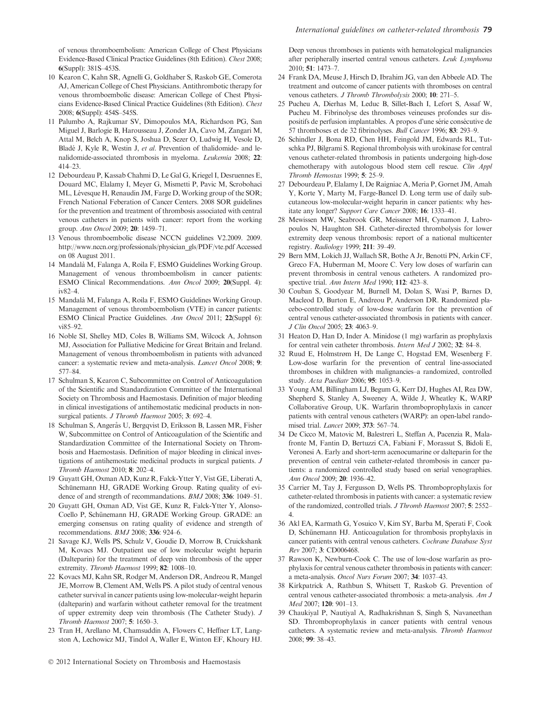of venous thromboembolism: American College of Chest Physicians Evidence-Based Clinical Practice Guidelines (8th Edition). Chest 2008; 6(Suppl): 381S–453S.

- 10 Kearon C, Kahn SR, Agnelli G, Goldhaber S, Raskob GE, Comerota AJ, American College of Chest Physicians. Antithrombotic therapy for venous thromboembolic disease: American College of Chest Physicians Evidence-Based Clinical Practice Guidelines (8th Edition). Chest 2008; 6(Suppl): 454S–545S.
- 11 Palumbo A, Rajkumar SV, Dimopoulos MA, Richardson PG, San Miguel J, Barlogie B, Harousseau J, Zonder JA, Cavo M, Zangari M, Attal M, Belch A, Knop S, Joshua D, Sezer O, Ludwig H, Vesole D, Bladé J, Kyle R, Westin J, et al. Prevention of thalidomide- and lenalidomide-associated thrombosis in myeloma. Leukemia 2008; 22: 414–23.
- 12 Debourdeau P, Kassab Chahmi D, Le Gal G, Kriegel I, Desruennes E, Douard MC, Elalamy I, Meyer G, Mismetti P, Pavic M, Scrobohaci ML, Lévesque H, Renaudin JM, Farge D, Working group of the SOR; French National Feberation of Cancer Centers. 2008 SOR guidelines for the prevention and treatment of thrombosis associated with central venous catheters in patients with cancer: report from the working group. Ann Oncol 2009; 20: 1459–71.
- 13 Venous thromboembolic disease NCCN guidelines V2.2009. 2009. http://www.nccn.org/professionals/physician\_gls/PDF/vte.pdf Accessed on 08 August 2011.
- 14 Mandala` M, Falanga A, Roila F, ESMO Guidelines Working Group. Management of venous thromboembolism in cancer patients: ESMO Clinical Recommendations. Ann Oncol 2009; 20(Suppl. 4): iv82–4.
- 15 Mandala` M, Falanga A, Roila F, ESMO Guidelines Working Group. Management of venous thromboembolism (VTE) in cancer patients: ESMO Clinical Practice Guidelines. Ann Oncol 2011; 22(Suppl 6): vi85–92.
- 16 Noble SI, Shelley MD, Coles B, Williams SM, Wilcock A, Johnson MJ, Association for Palliative Medicine for Great Britain and Ireland. Management of venous thromboembolism in patients with advanced cancer: a systematic review and meta-analysis. Lancet Oncol 2008; 9: 577–84.
- 17 Schulman S, Kearon C, Subcommittee on Control of Anticoagulation of the Scientific and Standardization Committee of the International Society on Thrombosis and Haemostasis. Definition of major bleeding in clinical investigations of antihemostatic medicinal products in nonsurgical patients. J Thromb Haemost 2005; 3: 692-4.
- 18 Schulman S, Angerås U, Bergqvist D, Eriksson B, Lassen MR, Fisher W, Subcommittee on Control of Anticoagulation of the Scientific and Standardization Committee of the International Society on Thrombosis and Haemostasis. Definition of major bleeding in clinical investigations of antihemostatic medicinal products in surgical patients. J Thromb Haemost 2010; 8: 202–4.
- 19 Guyatt GH, Oxman AD, Kunz R, Falck-Ytter Y, Vist GE, Liberati A, Schünemann HJ, GRADE Working Group. Rating quality of evidence of and strength of recommandations. BMJ 2008; 336: 1049–51.
- 20 Guyatt GH, Oxman AD, Vist GE, Kunz R, Falck-Ytter Y, Alonso-Coello P, Schünemann HJ, GRADE Working Group. GRADE: an emerging consensus on rating quality of evidence and strength of recommendations. BMJ 2008; 336: 924–6.
- 21 Savage KJ, Wells PS, Schulz V, Goudie D, Morrow B, Cruickshank M, Kovacs MJ. Outpatient use of low molecular weight heparin (Dalteparin) for the treatment of deep vein thrombosis of the upper extremity. Thromb Haemost 1999; 82: 1008-10.
- 22 Kovacs MJ, Kahn SR, Rodger M, Anderson DR, Andreou R, Mangel JE, Morrow B, Clement AM, Wells PS. A pilot study of central venous catheter survival in cancer patients using low-molecular-weight heparin (dalteparin) and warfarin without catheter removal for the treatment of upper extremity deep vein thrombosis (The Catheter Study). J Thromb Haemost 2007; 5: 1650–3.
- 23 Tran H, Arellano M, Chamsuddin A, Flowers C, Heffner LT, Langston A, Lechowicz MJ, Tindol A, Waller E, Winton EF, Khoury HJ.

Deep venous thromboses in patients with hematological malignancies after peripherally inserted central venous catheters. Leuk Lymphoma 2010; 51: 1473–7.

- 24 Frank DA, Meuse J, Hirsch D, Ibrahim JG, van den Abbeele AD. The treatment and outcome of cancer patients with thromboses on central venous catheters. J Thromb Thrombolysis 2000; 10: 271-5.
- 25 Pucheu A, Dierhas M, Leduc B, Sillet-Bach I, Lefort S, Assaf W, Pucheu M. Fibrinolyse des thromboses veineuses profondes sur dispositifs de perfusion implantables. A propos d'une série consécutive de 57 thromboses et de 32 fibrinolyses. Bull Cancer 1996; 83: 293–9.
- 26 Schindler J, Bona RD, Chen HH, Feingold JM, Edwards RL, Tutschka PJ, Bilgrami S. Regional thrombolysis with urokinase for central venous catheter-related thrombosis in patients undergoing high-dose chemotherapy with autologous blood stem cell rescue. Clin Appl Thromb Hemostas 1999; 5: 25–9.
- 27 Debourdeau P, Elalamy I, De Raigniac A, Meria P, Gornet JM, Amah Y, Korte Y, Marty M, Farge-Bancel D. Long term use of daily subcutaneous low-molecular-weight heparin in cancer patients: why hesitate any longer? Support Care Cancer 2008; 16: 1333–41.
- 28 Mewissen MW, Seabrook GR, Meissner MH, Cynamon J, Labropoulos N, Haughton SH. Catheter-directed thrombolysis for lower extremity deep venous thrombosis: report of a national multicenter registry. Radiology 1999; 211: 39–49.
- 29 Bern MM, Lokich JJ, Wallach SR, Bothe A Jr, Benotti PN, Arkin CF, Greco FA, Huberman M, Moore C. Very low doses of warfarin can prevent thrombosis in central venous catheters. A randomized prospective trial. Ann Intern Med 1990; 112: 423-8.
- 30 Couban S, Goodyear M, Burnell M, Dolan S, Wasi P, Barnes D, Macleod D, Burton E, Andreou P, Anderson DR. Randomized placebo-controlled study of low-dose warfarin for the prevention of central venous catheter-associated thrombosis in patients with cancer. J Clin Oncol 2005; 23: 4063–9.
- 31 Heaton D, Han D, Inder A. Minidose (1 mg) warfarin as prophylaxis for central vein catheter thrombosis. Intern Med J 2002; 32: 84–8.
- 32 Ruud E, Holmstrøm H, De Lange C, Hogstad EM, Wesenberg F. Low-dose warfarin for the prevention of central line-associated thromboses in children with malignancies–a randomized, controlled study. Acta Paediatr 2006; 95: 1053–9.
- 33 Young AM, Billingham LJ, Begum G, Kerr DJ, Hughes AI, Rea DW, Shepherd S, Stanley A, Sweeney A, Wilde J, Wheatley K, WARP Collaborative Group, UK. Warfarin thromboprophylaxis in cancer patients with central venous catheters (WARP): an open-label randomised trial. Lancet 2009; 373: 567–74.
- 34 De Cicco M, Matovic M, Balestreri L, Steffan A, Pacenzia R, Malafronte M, Fantin D, Bertuzzi CA, Fabiani F, Morassut S, Bidoli E, Veronesi A. Early and short-term acenocumarine or dalteparin for the prevention of central vein catheter-related thrombosis in cancer patients: a randomized controlled study based on serial venographies. Ann Oncol 2009; 20: 1936–42.
- 35 Carrier M, Tay J, Fergusson D, Wells PS. Thromboprophylaxis for catheter-related thrombosis in patients with cancer: a systematic review of the randomized, controlled trials. J Thromb Haemost 2007; 5: 2552– 4.
- 36 Akl EA, Karmath G, Yosuico V, Kim SY, Barba M, Sperati F, Cook D, Schünemann HJ. Anticoagulation for thrombosis prophylaxis in cancer patients with central venous catheters. Cochrane Database Syst Rev 2007; 3: CD006468.
- 37 Rawson K, Newburn-Cook C. The use of low-dose warfarin as prophylaxis for central venous catheter thrombosis in patients with cancer: a meta-analysis. Oncol Nurs Forum 2007; 34: 1037–43.
- 38 Kirkpatrick A, Rathbun S, Whitsett T, Raskob G. Prevention of central venous catheter-associated thrombosis: a meta-analysis. Am J Med 2007; 120: 901–13.
- 39 Chaukiyal P, Nautiyal A, Radhakrishnan S, Singh S, Navaneethan SD. Thromboprophylaxis in cancer patients with central venous catheters. A systematic review and meta-analysis. Thromb Haemost 2008; 99: 38–43.